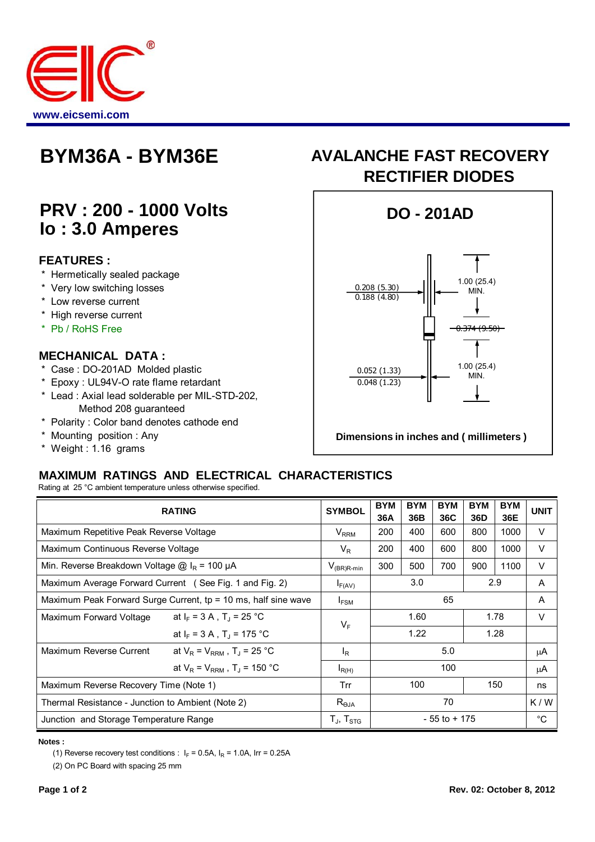

# **PRV : 200 - 1000 Volts Io : 3.0 Amperes**

### **FEATURES :**

- \* Hermetically sealed package
- \* Very low switching losses
- \* Low reverse current
- \* High reverse current
- \* Pb / RoHS Free

#### **MECHANICAL DATA :**

- \* Case : DO-201AD Molded plastic
- \* Epoxy : UL94V-O rate flame retardant
- \* Lead : Axial lead solderable per MIL-STD-202, Method 208 guaranteed
- \* Polarity : Color band denotes cathode end
- \* Mounting position : Any
- \* Weight : 1.16 grams

## **BYM36A - BYM36E AVALANCHE FAST RECOVERY RECTIFIER DIODES**



**Dimensions in inches and ( millimeters )**

## **MAXIMUM RATINGS AND ELECTRICAL CHARACTERISTICS**

Rating at 25 °C ambient temperature unless otherwise specified.

| <b>RATING</b>                                                   |                                                | <b>SYMBOL</b>          | <b>BYM</b><br>36A | <b>BYM</b><br>36B | <b>BYM</b><br>36C | <b>BYM</b><br>36D | <b>BYM</b><br>36E | <b>UNIT</b>  |
|-----------------------------------------------------------------|------------------------------------------------|------------------------|-------------------|-------------------|-------------------|-------------------|-------------------|--------------|
| Maximum Repetitive Peak Reverse Voltage                         |                                                | $V_{RRM}$              | 200               | 400               | 600               | 800               | 1000              | V            |
| Maximum Continuous Reverse Voltage                              |                                                | $V_R$                  | 200               | 400               | 600               | 800               | 1000              | V            |
| Min. Reverse Breakdown Voltage $\omega$ I <sub>R</sub> = 100 µA |                                                | $V_{(BR)R\text{-min}}$ | 300               | 500               | 700               | 900               | 1100              | V            |
| Maximum Average Forward Current (See Fig. 1 and Fig. 2)         |                                                | $I_{F(AV)}$            | 3.0               |                   |                   |                   | 2.9               |              |
| Maximum Peak Forward Surge Current, tp = 10 ms, half sine wave  |                                                | $I_{FSM}$              | 65                |                   |                   |                   | A                 |              |
| Maximum Forward Voltage                                         | at $I_F = 3 A$ , $T_J = 25 °C$                 | $V_F$                  | 1.60<br>1.22      |                   | 1.78              |                   | V                 |              |
|                                                                 | at $I_F = 3 A$ , $T_A = 175 °C$                |                        |                   |                   | 1.28              |                   |                   |              |
| Maximum Reverse Current                                         | at $V_R$ = $V_{RRM}$ , T <sub>J</sub> = 25 °C  | $I_{R}$                | 5.0               |                   |                   | μA                |                   |              |
|                                                                 | at $V_R$ = $V_{RRM}$ , T <sub>J</sub> = 150 °C | $I_{R(H)}$             | 100               |                   | μA                |                   |                   |              |
| Maximum Reverse Recovery Time (Note 1)                          |                                                | Trr                    | 100<br>150        |                   |                   |                   | ns                |              |
| Thermal Resistance - Junction to Ambient (Note 2)               |                                                | $R_{\theta$ JA         | 70                |                   |                   |                   | K/W               |              |
| Junction and Storage Temperature Range                          |                                                | $T_J$ , $T_{STG}$      | $-55$ to $+175$   |                   |                   |                   |                   | $^{\circ}$ C |

#### **Notes :**

(1) Reverse recovery test conditions :  $I_F = 0.5A$ ,  $I_R = 1.0A$ , Irr = 0.25A

(2) On PC Board with spacing 25 mm